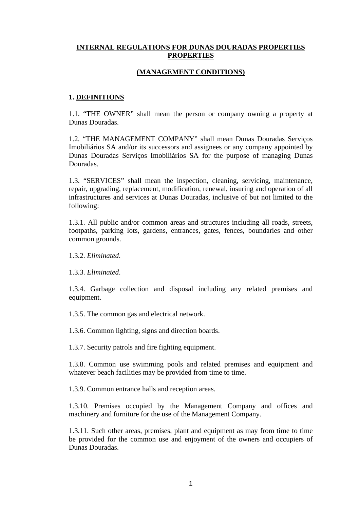### **INTERNAL REGULATIONS FOR DUNAS DOURADAS PROPERTIES PROPERTIES**

#### **(MANAGEMENT CONDITIONS)**

#### **1. DEFINITIONS**

1.1. "THE OWNER" shall mean the person or company owning a property at Dunas Douradas.

1.2. "THE MANAGEMENT COMPANY" shall mean Dunas Douradas Serviços Imobiliários SA and/or its successors and assignees or any company appointed by Dunas Douradas Serviços Imobiliários SA for the purpose of managing Dunas Douradas.

1.3. "SERVICES" shall mean the inspection, cleaning, servicing, maintenance, repair, upgrading, replacement, modification, renewal, insuring and operation of all infrastructures and services at Dunas Douradas, inclusive of but not limited to the following:

1.3.1. All public and/or common areas and structures including all roads, streets, footpaths, parking lots, gardens, entrances, gates, fences, boundaries and other common grounds.

1.3.2. *Eliminated*.

1.3.3. *Eliminated*.

1.3.4. Garbage collection and disposal including any related premises and equipment.

1.3.5. The common gas and electrical network.

1.3.6. Common lighting, signs and direction boards.

1.3.7. Security patrols and fire fighting equipment.

1.3.8. Common use swimming pools and related premises and equipment and whatever beach facilities may be provided from time to time.

1.3.9. Common entrance halls and reception areas.

1.3.10. Premises occupied by the Management Company and offices and machinery and furniture for the use of the Management Company.

1.3.11. Such other areas, premises, plant and equipment as may from time to time be provided for the common use and enjoyment of the owners and occupiers of Dunas Douradas.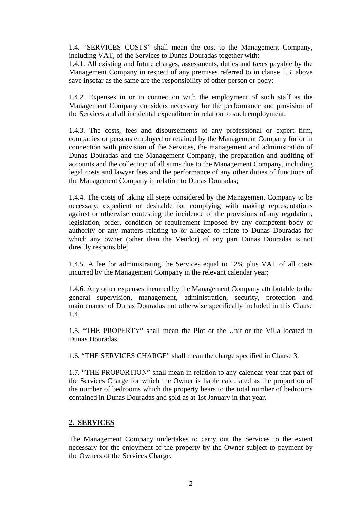1.4. "SERVICES COSTS" shall mean the cost to the Management Company, including VAT, of the Services to Dunas Douradas together with:

1.4.1. All existing and future charges, assessments, duties and taxes payable by the Management Company in respect of any premises referred to in clause 1.3. above save insofar as the same are the responsibility of other person or body;

1.4.2. Expenses in or in connection with the employment of such staff as the Management Company considers necessary for the performance and provision of the Services and all incidental expenditure in relation to such employment;

1.4.3. The costs, fees and disbursements of any professional or expert firm, companies or persons employed or retained by the Management Company for or in connection with provision of the Services, the management and administration of Dunas Douradas and the Management Company, the preparation and auditing of accounts and the collection of all sums due to the Management Company, including legal costs and lawyer fees and the performance of any other duties of functions of the Management Company in relation to Dunas Douradas;

1.4.4. The costs of taking all steps considered by the Management Company to be necessary, expedient or desirable for complying with making representations against or otherwise contesting the incidence of the provisions of any regulation, legislation, order, condition or requirement imposed by any competent body or authority or any matters relating to or alleged to relate to Dunas Douradas for which any owner (other than the Vendor) of any part Dunas Douradas is not directly responsible;

1.4.5. A fee for administrating the Services equal to 12% plus VAT of all costs incurred by the Management Company in the relevant calendar year;

1.4.6. Any other expenses incurred by the Management Company attributable to the general supervision, management, administration, security, protection and maintenance of Dunas Douradas not otherwise specifically included in this Clause 1.4.

1.5. "THE PROPERTY" shall mean the Plot or the Unit or the Villa located in Dunas Douradas.

1.6. "THE SERVICES CHARGE" shall mean the charge specified in Clause 3.

1.7. "THE PROPORTION" shall mean in relation to any calendar year that part of the Services Charge for which the Owner is liable calculated as the proportion of the number of bedrooms which the property bears to the total number of bedrooms contained in Dunas Douradas and sold as at 1st January in that year.

#### **2. SERVICES**

The Management Company undertakes to carry out the Services to the extent necessary for the enjoyment of the property by the Owner subject to payment by the Owners of the Services Charge.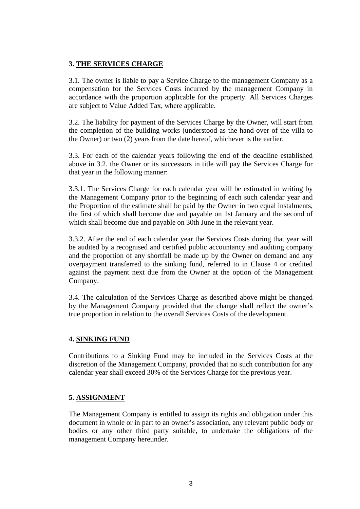### **3. THE SERVICES CHARGE**

3.1. The owner is liable to pay a Service Charge to the management Company as a compensation for the Services Costs incurred by the management Company in accordance with the proportion applicable for the property. All Services Charges are subject to Value Added Tax, where applicable.

3.2. The liability for payment of the Services Charge by the Owner, will start from the completion of the building works (understood as the hand-over of the villa to the Owner) or two (2) years from the date hereof, whichever is the earlier.

3.3. For each of the calendar years following the end of the deadline established above in 3.2. the Owner or its successors in title will pay the Services Charge for that year in the following manner:

3.3.1. The Services Charge for each calendar year will be estimated in writing by the Management Company prior to the beginning of each such calendar year and the Proportion of the estimate shall be paid by the Owner in two equal instalments, the first of which shall become due and payable on 1st January and the second of which shall become due and payable on 30th June in the relevant year.

3.3.2. After the end of each calendar year the Services Costs during that year will be audited by a recognised and certified public accountancy and auditing company and the proportion of any shortfall be made up by the Owner on demand and any overpayment transferred to the sinking fund, referred to in Clause 4 or credited against the payment next due from the Owner at the option of the Management Company.

3.4. The calculation of the Services Charge as described above might be changed by the Management Company provided that the change shall reflect the owner's true proportion in relation to the overall Services Costs of the development.

# **4. SINKING FUND**

Contributions to a Sinking Fund may be included in the Services Costs at the discretion of the Management Company, provided that no such contribution for any calendar year shall exceed 30% of the Services Charge for the previous year.

# **5. ASSIGNMENT**

The Management Company is entitled to assign its rights and obligation under this document in whole or in part to an owner's association, any relevant public body or bodies or any other third party suitable, to undertake the obligations of the management Company hereunder.